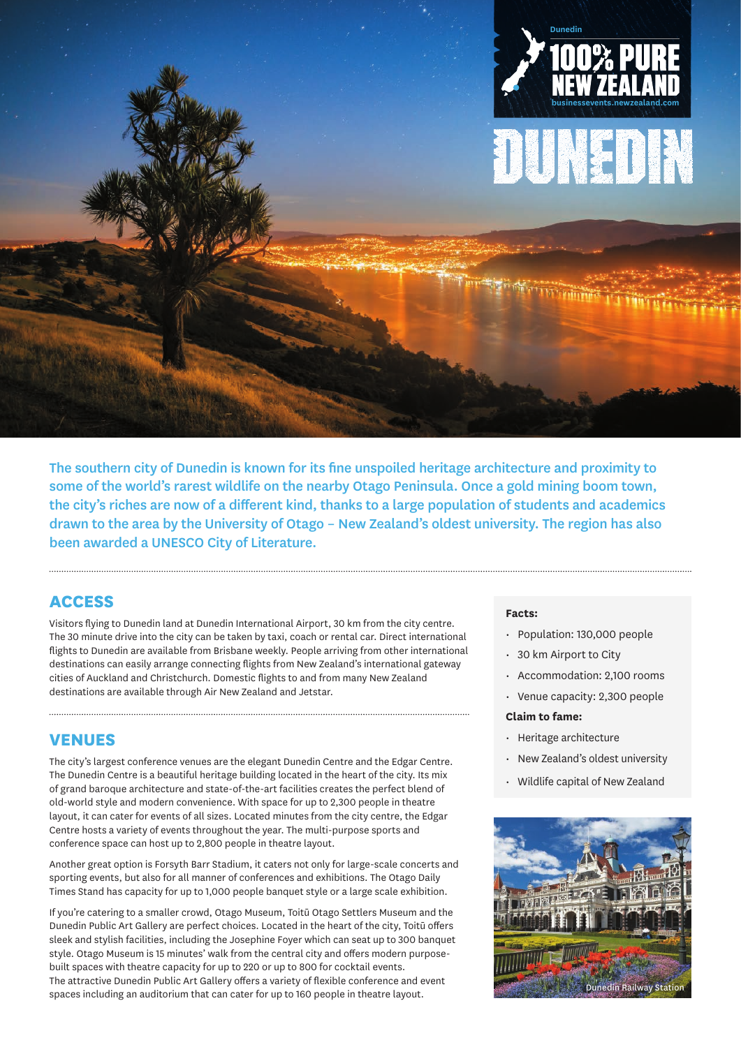

The southern city of Dunedin is known for its fine unspoiled heritage architecture and proximity to some of the world's rarest wildlife on the nearby Otago Peninsula. Once a gold mining boom town, the city's riches are now of a different kind, thanks to a large population of students and academics drawn to the area by the University of Otago – New Zealand's oldest university. The region has also been awarded a UNESCO City of Literature.

## **ACCESS**

Visitors flying to Dunedin land at Dunedin International Airport, 30 km from the city centre. The 30 minute drive into the city can be taken by taxi, coach or rental car. Direct international flights to Dunedin are available from Brisbane weekly. People arriving from other international destinations can easily arrange connecting flights from New Zealand's international gateway cities of Auckland and Christchurch. Domestic flights to and from many New Zealand destinations are available through Air New Zealand and Jetstar.

### **VENUES**

The city's largest conference venues are the elegant Dunedin Centre and the Edgar Centre. The Dunedin Centre is a beautiful heritage building located in the heart of the city. Its mix of grand baroque architecture and state-of-the-art facilities creates the perfect blend of old-world style and modern convenience. With space for up to 2,300 people in theatre layout, it can cater for events of all sizes. Located minutes from the city centre, the Edgar Centre hosts a variety of events throughout the year. The multi-purpose sports and conference space can host up to 2,800 people in theatre layout.

Another great option is Forsyth Barr Stadium, it caters not only for large-scale concerts and sporting events, but also for all manner of conferences and exhibitions. The Otago Daily Times Stand has capacity for up to 1,000 people banquet style or a large scale exhibition.

If you're catering to a smaller crowd, Otago Museum, Toitū Otago Settlers Museum and the Dunedin Public Art Gallery are perfect choices. Located in the heart of the city, Toitū offers sleek and stylish facilities, including the Josephine Foyer which can seat up to 300 banquet style. Otago Museum is 15 minutes' walk from the central city and offers modern purposebuilt spaces with theatre capacity for up to 220 or up to 800 for cocktail events. The attractive Dunedin Public Art Gallery offers a variety of flexible conference and event spaces including an auditorium that can cater for up to 160 people in theatre layout.

#### **Facts:**

- Population: 130,000 people
- 30 km Airport to City
- Accommodation: 2,100 rooms
- Venue capacity: 2,300 people

#### **Claim to fame:**

- Heritage architecture
- New Zealand's oldest university
- Wildlife capital of New Zealand